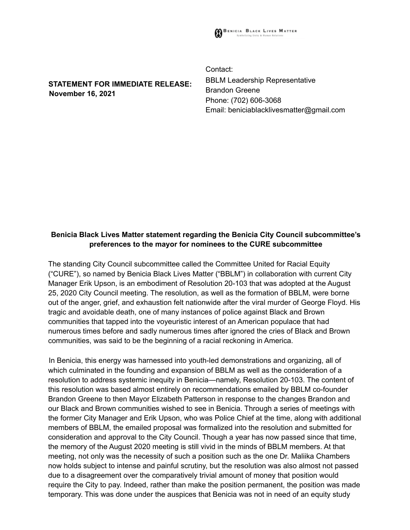

**STATEMENT FOR IMMEDIATE RELEASE: November 16, 2021**

Contact: BBLM Leadership Representative Brandon Greene Phone: (702) 606-3068 Email: beniciablacklivesmatter@gmail.com

## **Benicia Black Lives Matter statement regarding the Benicia City Council subcommittee's preferences to the mayor for nominees to the CURE subcommittee**

The standing City Council subcommittee called the Committee United for Racial Equity ("CURE"), so named by Benicia Black Lives Matter ("BBLM") in collaboration with current City Manager Erik Upson, is an embodiment of Resolution 20-103 that was adopted at the August 25, 2020 City Council meeting. The resolution, as well as the formation of BBLM, were borne out of the anger, grief, and exhaustion felt nationwide after the viral murder of George Floyd. His tragic and avoidable death, one of many instances of police against Black and Brown communities that tapped into the voyeuristic interest of an American populace that had numerous times before and sadly numerous times after ignored the cries of Black and Brown communities, was said to be the beginning of a racial reckoning in America.

In Benicia, this energy was harnessed into youth-led demonstrations and organizing, all of which culminated in the founding and expansion of BBLM as well as the consideration of a resolution to address systemic inequity in Benicia—namely, Resolution 20-103. The content of this resolution was based almost entirely on recommendations emailed by BBLM co-founder Brandon Greene to then Mayor Elizabeth Patterson in response to the changes Brandon and our Black and Brown communities wished to see in Benicia. Through a series of meetings with the former City Manager and Erik Upson, who was Police Chief at the time, along with additional members of BBLM, the emailed proposal was formalized into the resolution and submitted for consideration and approval to the City Council. Though a year has now passed since that time, the memory of the August 2020 meeting is still vivid in the minds of BBLM members. At that meeting, not only was the necessity of such a position such as the one Dr. Maliika Chambers now holds subject to intense and painful scrutiny, but the resolution was also almost not passed due to a disagreement over the comparatively trivial amount of money that position would require the City to pay. Indeed, rather than make the position permanent, the position was made temporary. This was done under the auspices that Benicia was not in need of an equity study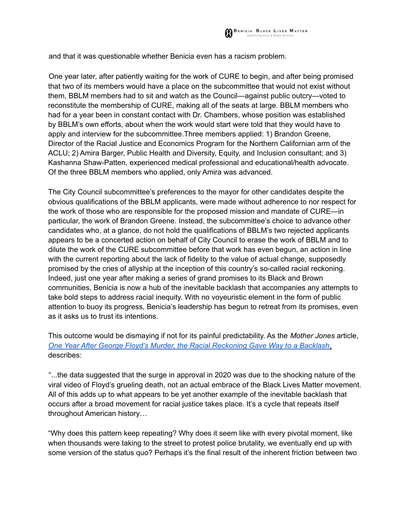and that it was questionable whether Benicia even has a racism problem.

One year later, after patiently waiting for the work of CURE to begin, and after being promised that two of its members would have a place on the subcommittee that would not exist without them, BBLM members had to sit and watch as the Council—against public outcry—voted to reconstitute the membership of CURE, making all of the seats at large. BBLM members who had for a year been in constant contact with Dr. Chambers, whose position was established by BBLM's own efforts, about when the work would start were told that they would have to apply and interview for the subcommittee.Three members applied: 1) Brandon Greene, Director of the Racial Justice and Economics Program for the Northern Californian arm of the ACLU; 2) Amira Barger, Public Health and Diversity, Equity, and Inclusion consultant; and 3) Kashanna Shaw-Patten, experienced medical professional and educational/health advocate. Of the three BBLM members who applied, only Amira was advanced.

The City Council subcommittee's preferences to the mayor for other candidates despite the obvious qualifications of the BBLM applicants, were made without adherence to nor respect for the work of those who are responsible for the proposed mission and mandate of CURE—in particular, the work of Brandon Greene. Instead, the subcommittee's choice to advance other candidates who, at a glance, do not hold the qualifications of BBLM's two rejected applicants appears to be a concerted action on behalf of City Council to erase the work of BBLM and to dilute the work of the CURE subcommittee before that work has even begun, an action in line with the current reporting about the lack of fidelity to the value of actual change, supposedly promised by the cries of allyship at the inception of this country's so-called racial reckoning. Indeed, just one year after making a series of grand promises to its Black and Brown communities, Benicia is now a hub of the inevitable backlash that accompanies any attempts to take bold steps to address racial inequity. With no voyeuristic element in the form of public attention to buoy its progress, Benicia's leadership has begun to retreat from its promises, even as it asks us to trust its intentions.

This outcome would be dismaying if not for its painful predictability. As the *Mother Jones* article, *One Year After George Floyd's Murder, the Racial Reckoning Gave Way to a Backlash,* describes:

"...the data suggested that the surge in approval in 2020 was due to the shocking nature of the viral video of Floyd's grueling death, not an actual embrace of the Black Lives Matter movement. All of this adds up to what appears to be yet another example of the inevitable backlash that occurs after a broad movement for racial justice takes place. It's a cycle that repeats itself throughout American history…

"Why does this pattern keep repeating? Why does it seem like with every pivotal moment, like when thousands were taking to the street to protest police brutality, we eventually end up with some version of the status quo? Perhaps it's the final result of the inherent friction between two